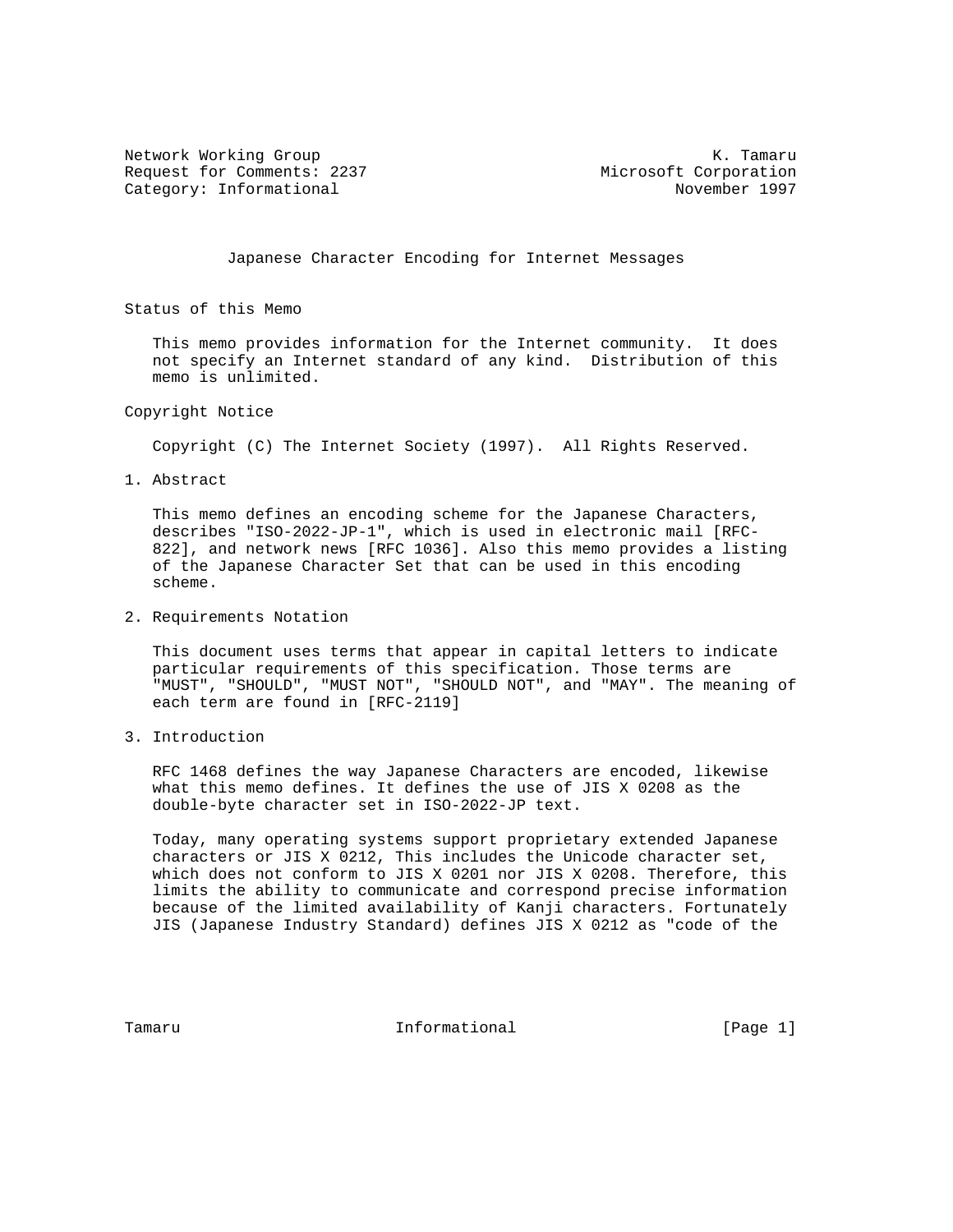Network Working Group and the set of the set of the set of the K. Tamaru Request for Comments: 2237 Microsoft Corporation Category: Informational November 1997

Japanese Character Encoding for Internet Messages

Status of this Memo

 This memo provides information for the Internet community. It does not specify an Internet standard of any kind. Distribution of this memo is unlimited.

Copyright Notice

Copyright (C) The Internet Society (1997). All Rights Reserved.

1. Abstract

 This memo defines an encoding scheme for the Japanese Characters, describes "ISO-2022-JP-1", which is used in electronic mail [RFC- 822], and network news [RFC 1036]. Also this memo provides a listing of the Japanese Character Set that can be used in this encoding scheme.

2. Requirements Notation

 This document uses terms that appear in capital letters to indicate particular requirements of this specification. Those terms are "MUST", "SHOULD", "MUST NOT", "SHOULD NOT", and "MAY". The meaning of each term are found in [RFC-2119]

3. Introduction

 RFC 1468 defines the way Japanese Characters are encoded, likewise what this memo defines. It defines the use of JIS X 0208 as the double-byte character set in ISO-2022-JP text.

 Today, many operating systems support proprietary extended Japanese characters or JIS X 0212, This includes the Unicode character set, which does not conform to JIS X 0201 nor JIS X 0208. Therefore, this limits the ability to communicate and correspond precise information because of the limited availability of Kanji characters. Fortunately JIS (Japanese Industry Standard) defines JIS X 0212 as "code of the

Tamaru **Informational Informational** [Page 1]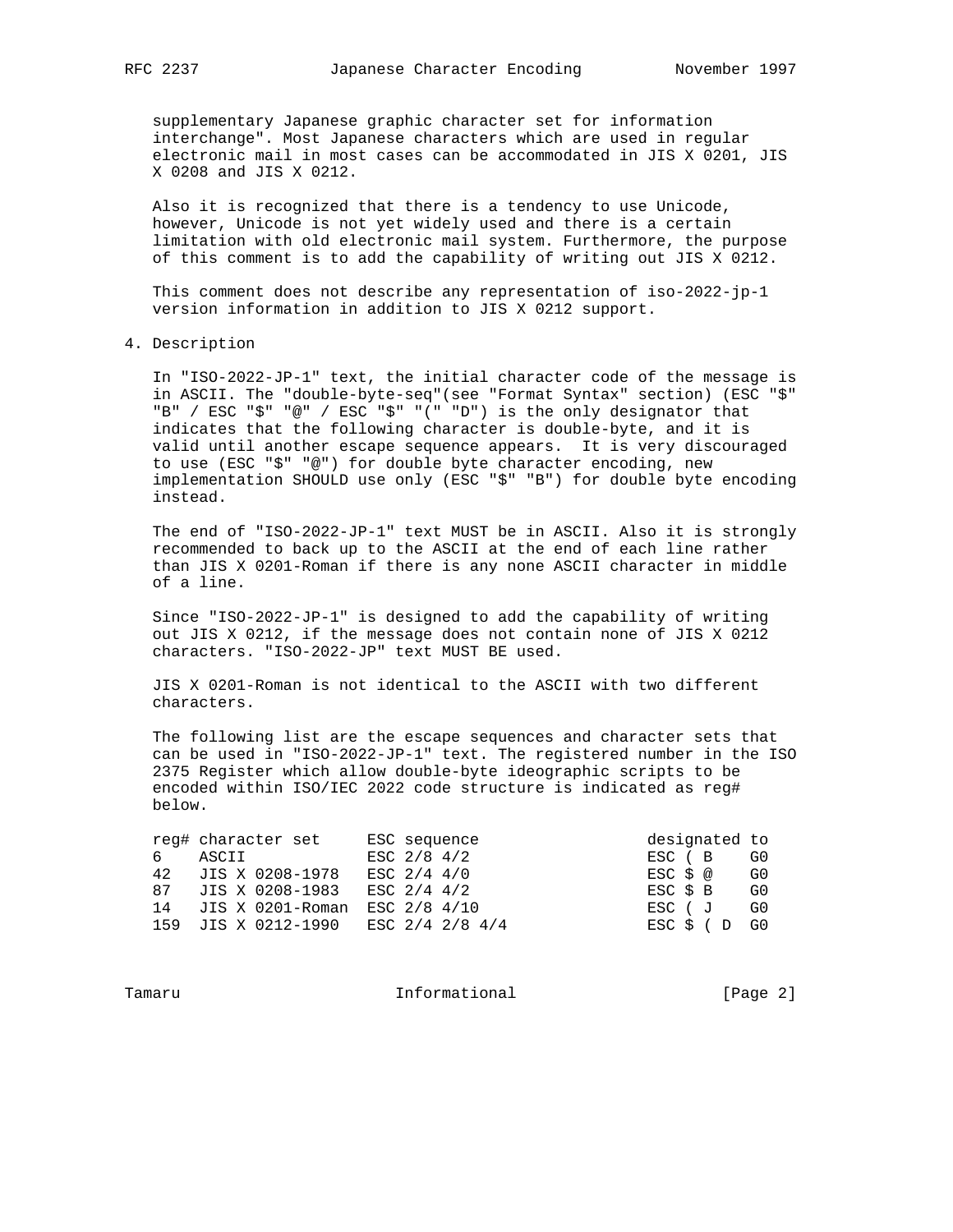supplementary Japanese graphic character set for information interchange". Most Japanese characters which are used in regular electronic mail in most cases can be accommodated in JIS X 0201, JIS X 0208 and JIS X 0212.

 Also it is recognized that there is a tendency to use Unicode, however, Unicode is not yet widely used and there is a certain limitation with old electronic mail system. Furthermore, the purpose of this comment is to add the capability of writing out JIS X 0212.

 This comment does not describe any representation of iso-2022-jp-1 version information in addition to JIS X 0212 support.

4. Description

 In "ISO-2022-JP-1" text, the initial character code of the message is in ASCII. The "double-byte-seq"(see "Format Syntax" section) (ESC "\$" "B" / ESC "\$" "@" / ESC "\$" "(" "D") is the only designator that indicates that the following character is double-byte, and it is valid until another escape sequence appears. It is very discouraged to use (ESC "\$" "@") for double byte character encoding, new implementation SHOULD use only (ESC "\$" "B") for double byte encoding instead.

 The end of "ISO-2022-JP-1" text MUST be in ASCII. Also it is strongly recommended to back up to the ASCII at the end of each line rather than JIS X 0201-Roman if there is any none ASCII character in middle of a line.

 Since "ISO-2022-JP-1" is designed to add the capability of writing out JIS X 0212, if the message does not contain none of JIS X 0212 characters. "ISO-2022-JP" text MUST BE used.

 JIS X 0201-Roman is not identical to the ASCII with two different characters.

 The following list are the escape sequences and character sets that can be used in "ISO-2022-JP-1" text. The registered number in the ISO 2375 Register which allow double-byte ideographic scripts to be encoded within ISO/IEC 2022 code structure is indicated as reg# below.

|    | reg# character set                  | ESC sequence  | designated to |    |
|----|-------------------------------------|---------------|---------------|----|
| ნ. | ASCII                               | ESC $2/8$ 4/2 | ESC ( B       | G0 |
|    | 42 JIS X 0208-1978                  | ESC 2/4 4/0   | ESC \$ @      | G0 |
|    | 87 JIS X 0208-1983                  | ESC 2/4 4/2   | ESC \$ B      | G0 |
| 14 | JIS X 0201-Roman                    | ESC 2/8 4/10  | ESC ( J       | G0 |
|    | 159 JIS X 0212-1990 ESC 2/4 2/8 4/4 |               | ESC \$ (D     | G0 |

Tamaru **Informational Informational** [Page 2]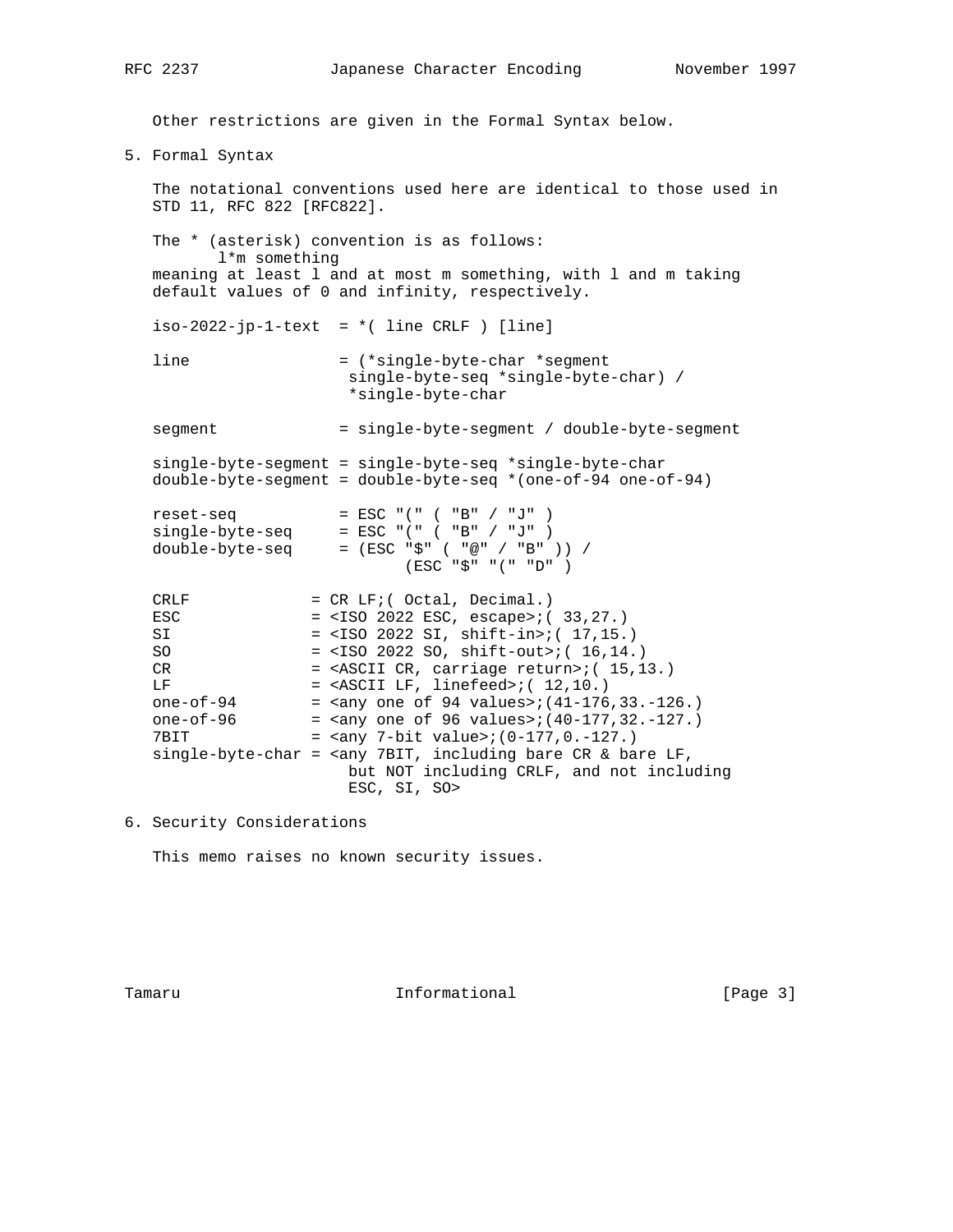Other restrictions are given in the Formal Syntax below.

5. Formal Syntax

 The notational conventions used here are identical to those used in STD 11, RFC 822 [RFC822].

 The \* (asterisk) convention is as follows: l\*m something meaning at least l and at most m something, with l and m taking default values of 0 and infinity, respectively.

 $iso-2022-jp-1-text = *$  (line CRLF ) [line]

 line = (\*single-byte-char \*segment single-byte-seq \*single-byte-char) / \*single-byte-char

segment = single-byte-segment / double-byte-segment

 single-byte-segment = single-byte-seq \*single-byte-char double-byte-segment = double-byte-seq \*(one-of-94 one-of-94)

| reset-seq       | $=$ ESC $" (" "  ( " B" / " J" )$ |
|-----------------|-----------------------------------|
| single-byte-seg | $=$ ESC $" (" "  ( " B" / " J" )$ |
| double-byte-seq | = (ESC "\$" ( "@" / "B" )) /      |
|                 | (ESC "S" "('" "D")                |

| CRLF         | $= CR LF/ (Octal, Decimal.)$                                                  |
|--------------|-------------------------------------------------------------------------------|
| <b>ESC</b>   | $=$ <iso 2022="" esc,="" escape="">;(33,27.)</iso>                            |
| SI           | $=$ <iso 2022="" shift-in="" si,="">;( 17,15.)</iso>                          |
| SO.          | $=$ <iso 2022="" shift-out="" so,="">;( 16,14.)</iso>                         |
| CR.          | $=$ <ascii carriage="" cr,="" return="">; <math>(15, 13)</math>.</ascii>      |
| LF.          | $=$ <ascii lf,="" linefeed="">; <math>(12,10.)</math></ascii>                 |
| one-of- $94$ | = $\langle$ any one of 94 values>; $(41-176, 33, -126, )$                     |
| one-of- $96$ | = $\langle$ any one of 96 values>; $(40-177, 32, -127)$ .                     |
| 7BTT         | = $\langle \text{any } 7-\text{bit } \text{value} \rangle$ ; (0-177, 0.-127.) |
|              | single-byte-char = $\langle$ any 7BIT, including bare CR & bare LF,           |
|              | but NOT including CRLF, and not including                                     |
|              | ESC, SI, SO>                                                                  |

6. Security Considerations

This memo raises no known security issues.

Tamaru **Informational Informational** [Page 3]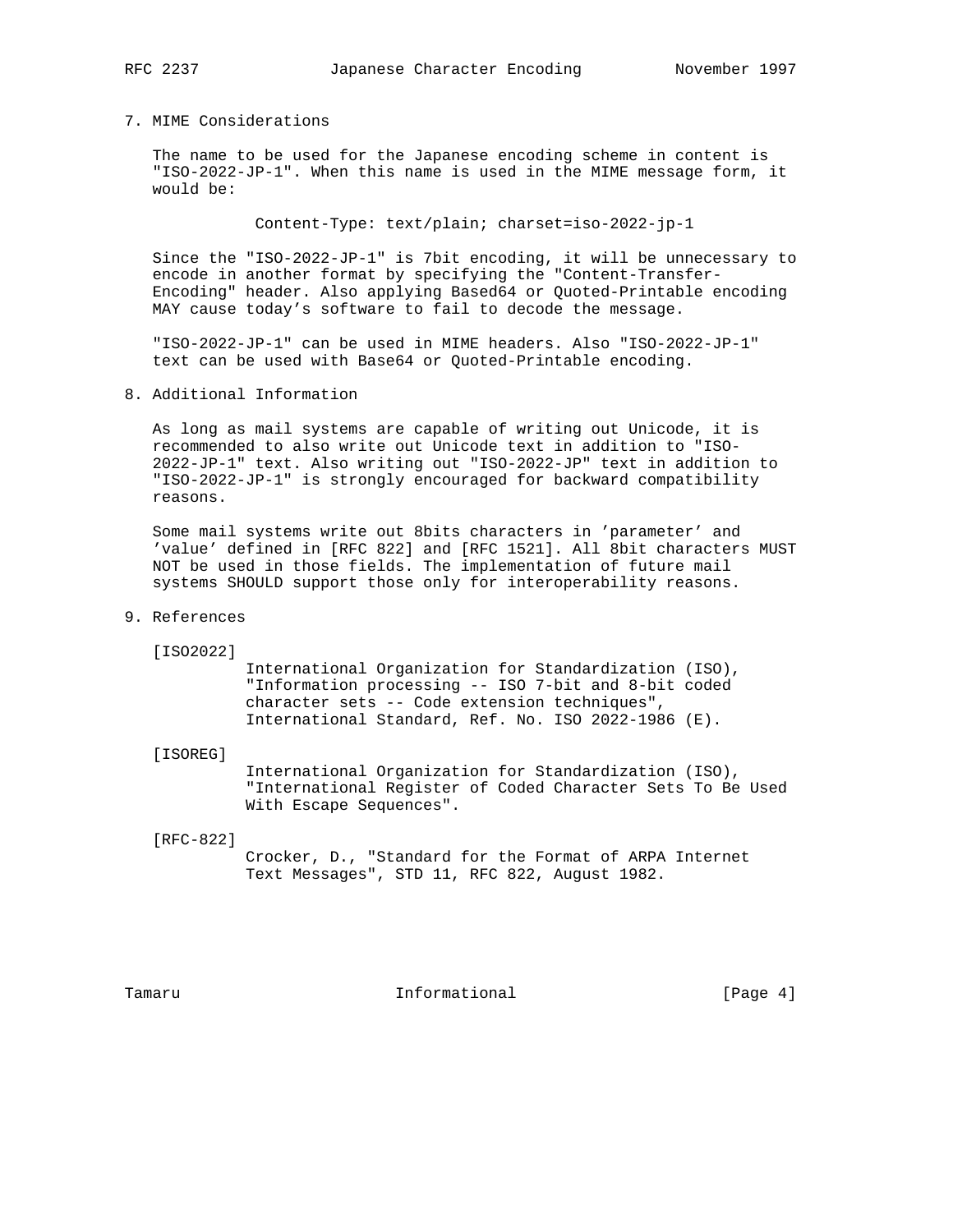# 7. MIME Considerations

 The name to be used for the Japanese encoding scheme in content is "ISO-2022-JP-1". When this name is used in the MIME message form, it would be:

Content-Type: text/plain; charset=iso-2022-jp-1

 Since the "ISO-2022-JP-1" is 7bit encoding, it will be unnecessary to encode in another format by specifying the "Content-Transfer- Encoding" header. Also applying Based64 or Quoted-Printable encoding MAY cause today's software to fail to decode the message.

 "ISO-2022-JP-1" can be used in MIME headers. Also "ISO-2022-JP-1" text can be used with Base64 or Quoted-Printable encoding.

8. Additional Information

 As long as mail systems are capable of writing out Unicode, it is recommended to also write out Unicode text in addition to "ISO- 2022-JP-1" text. Also writing out "ISO-2022-JP" text in addition to "ISO-2022-JP-1" is strongly encouraged for backward compatibility reasons.

 Some mail systems write out 8bits characters in 'parameter' and 'value' defined in [RFC 822] and [RFC 1521]. All 8bit characters MUST NOT be used in those fields. The implementation of future mail systems SHOULD support those only for interoperability reasons.

## 9. References

[ISO2022]

 International Organization for Standardization (ISO), "Information processing -- ISO 7-bit and 8-bit coded character sets -- Code extension techniques", International Standard, Ref. No. ISO 2022-1986 (E).

[ISOREG]

 International Organization for Standardization (ISO), "International Register of Coded Character Sets To Be Used With Escape Sequences".

[RFC-822]

 Crocker, D., "Standard for the Format of ARPA Internet Text Messages", STD 11, RFC 822, August 1982.

Tamaru **Informational Informational** [Page 4]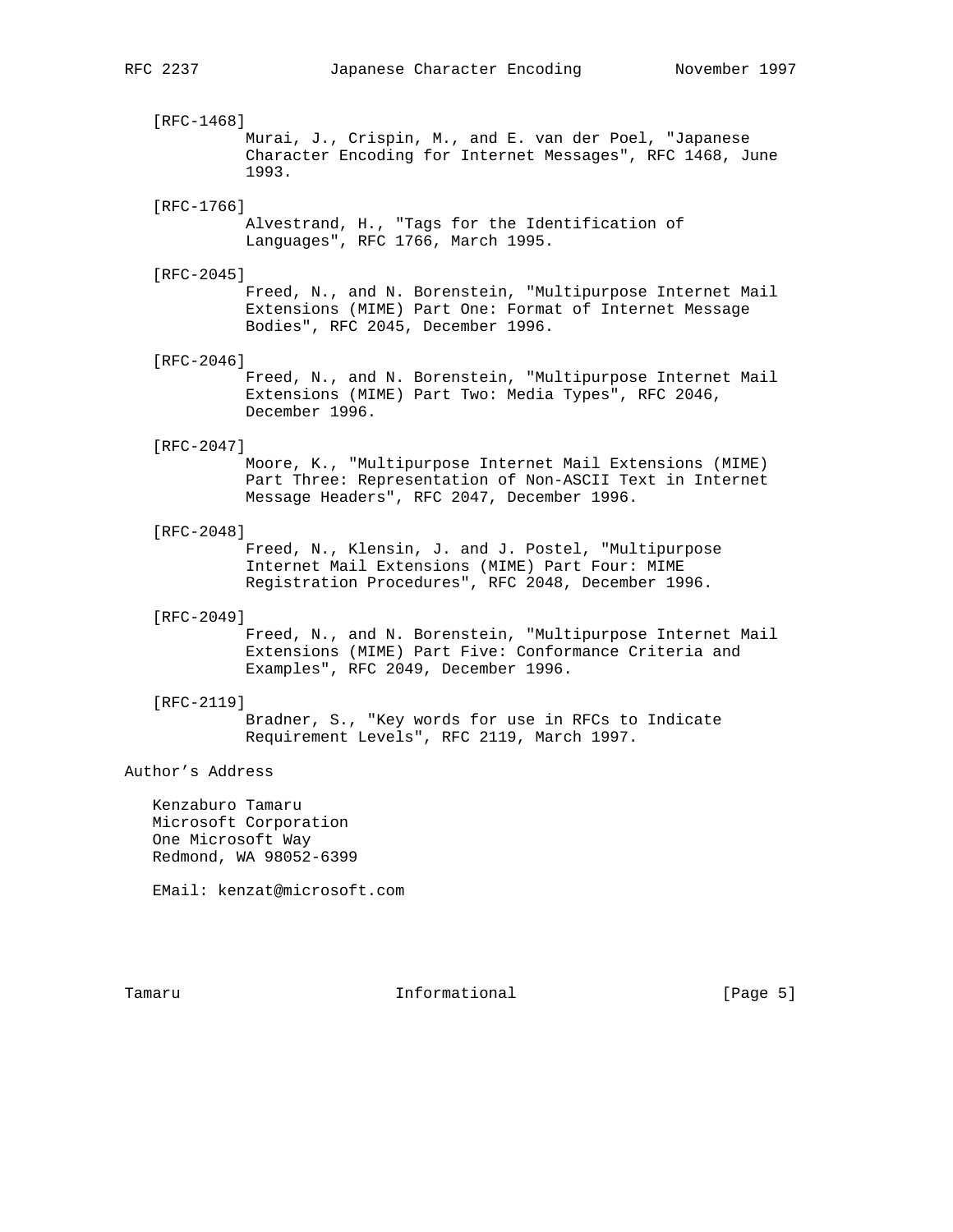[RFC-1468] Murai, J., Crispin, M., and E. van der Poel, "Japanese Character Encoding for Internet Messages", RFC 1468, June 1993.

## [RFC-1766]

 Alvestrand, H., "Tags for the Identification of Languages", RFC 1766, March 1995.

## [RFC-2045]

 Freed, N., and N. Borenstein, "Multipurpose Internet Mail Extensions (MIME) Part One: Format of Internet Message Bodies", RFC 2045, December 1996.

[RFC-2046]

 Freed, N., and N. Borenstein, "Multipurpose Internet Mail Extensions (MIME) Part Two: Media Types", RFC 2046, December 1996.

#### [RFC-2047]

 Moore, K., "Multipurpose Internet Mail Extensions (MIME) Part Three: Representation of Non-ASCII Text in Internet Message Headers", RFC 2047, December 1996.

# [RFC-2048]

 Freed, N., Klensin, J. and J. Postel, "Multipurpose Internet Mail Extensions (MIME) Part Four: MIME Registration Procedures", RFC 2048, December 1996.

# [RFC-2049]

 Freed, N., and N. Borenstein, "Multipurpose Internet Mail Extensions (MIME) Part Five: Conformance Criteria and Examples", RFC 2049, December 1996.

### [RFC-2119]

 Bradner, S., "Key words for use in RFCs to Indicate Requirement Levels", RFC 2119, March 1997.

# Author's Address

 Kenzaburo Tamaru Microsoft Corporation One Microsoft Way Redmond, WA 98052-6399

EMail: kenzat@microsoft.com

Tamaru **Informational Informational** [Page 5]